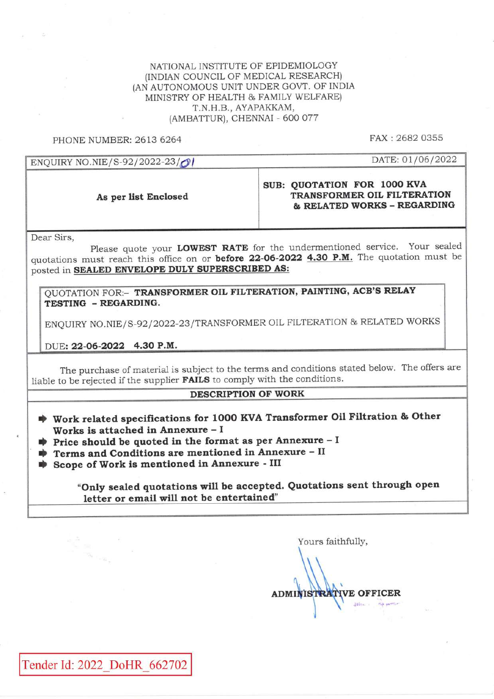NATIONAL INSTITUTE OF EPIDEMIOLOGY (INDIAN COUNCIL OF MEDICAL RESEARCH) (AN AUTONOMOUS UNIT UNDER GOVT. OF INDIA MINISTRY OF HEALTH & FAMILY WELFARE) T.N.H.B., AYAPAKKAM, (AMBATTUR), CHENNAI - 600 077

PHONE NUMBER: 2613 6264

FAX: 2682 0355

DATE: 01/06/2022

### ENOUIRY NO.NIE/S-92/2022-23/01

As per list Enclosed

### SUB: QUOTATION FOR 1000 KVA TRANSFORMER OIL FILTERATION & RELATED WORKS - REGARDING

Dear Sirs,

Please quote your LOWEST RATE for the undermentioned service. Your sealed quotations must reach this office on or before 22-06-2022 4.30 P.M. The quotation must be posted in SEALED ENVELOPE DULY SUPERSCRIBED AS:

OUOTATION FOR:- TRANSFORMER OIL FILTERATION, PAINTING, ACB'S RELAY TESTING - REGARDING.

ENQUIRY NO.NIE/S-92/2022-23/TRANSFORMER OIL FILTERATION & RELATED WORKS

DUE: 22-06-2022 4.30 P.M.

The purchase of material is subject to the terms and conditions stated below. The offers are liable to be rejected if the supplier **FAILS** to comply with the conditions.

#### **DESCRIPTION OF WORK**

- Work related specifications for 1000 KVA Transformer Oil Filtration & Other Works is attached in Annexure - I
- $\bullet$  Price should be quoted in the format as per Annexure I
- Terms and Conditions are mentioned in Annexure II
- Scope of Work is mentioned in Annexure III

"Only sealed quotations will be accepted. Quotations sent through open letter or email will not be entertained"

Yours faithfully, **ADMINISTRATIVE OFFICER**  $3851...$ 

Tender Id: 2022 DoHR 662702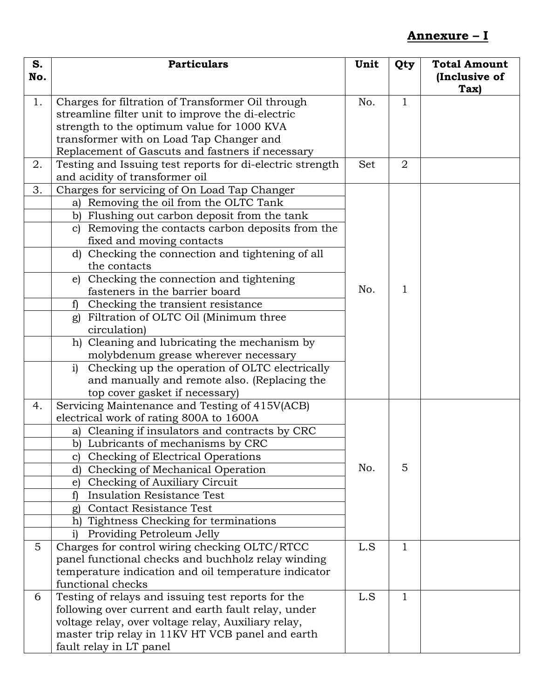# **Annexure – I**

| S.          | <b>Particulars</b>                                             | Unit | Qty          | <b>Total Amount</b>   |
|-------------|----------------------------------------------------------------|------|--------------|-----------------------|
| No.         |                                                                |      |              | (Inclusive of<br>Tax) |
| 1.          | Charges for filtration of Transformer Oil through              | No.  | $\mathbf{1}$ |                       |
|             | streamline filter unit to improve the di-electric              |      |              |                       |
|             | strength to the optimum value for 1000 KVA                     |      |              |                       |
|             | transformer with on Load Tap Changer and                       |      |              |                       |
|             | Replacement of Gascuts and fastners if necessary               |      |              |                       |
| 2.          | Testing and Issuing test reports for di-electric strength      | Set  | 2            |                       |
|             | and acidity of transformer oil                                 |      |              |                       |
| 3.          | Charges for servicing of On Load Tap Changer                   |      |              |                       |
|             | a) Removing the oil from the OLTC Tank                         |      |              |                       |
|             | b) Flushing out carbon deposit from the tank                   |      |              |                       |
|             | Removing the contacts carbon deposits from the<br>$\mathbf{C}$ |      |              |                       |
|             | fixed and moving contacts                                      |      |              |                       |
|             | d) Checking the connection and tightening of all               |      |              |                       |
|             | the contacts                                                   |      |              |                       |
|             | Checking the connection and tightening<br>e)                   |      | 1            |                       |
|             | fasteners in the barrier board                                 | No.  |              |                       |
|             | Checking the transient resistance<br>f)                        |      |              |                       |
|             | Filtration of OLTC Oil (Minimum three<br>g)                    |      |              |                       |
|             | circulation)                                                   |      |              |                       |
|             | h) Cleaning and lubricating the mechanism by                   |      |              |                       |
|             | molybdenum grease wherever necessary                           |      |              |                       |
|             | Checking up the operation of OLTC electrically<br>i)           |      |              |                       |
|             | and manually and remote also. (Replacing the                   |      |              |                       |
|             | top cover gasket if necessary)                                 |      |              |                       |
| 4.          | Servicing Maintenance and Testing of 415V(ACB)                 |      |              |                       |
|             | electrical work of rating 800A to 1600A                        |      |              |                       |
|             | Cleaning if insulators and contracts by CRC<br>a)              |      |              |                       |
|             | b) Lubricants of mechanisms by CRC                             |      |              |                       |
|             | Checking of Electrical Operations<br>C)                        |      |              |                       |
|             | Checking of Mechanical Operation<br>d)                         | No.  | 5            |                       |
|             | Checking of Auxiliary Circuit<br>e)                            |      |              |                       |
|             | <b>Insulation Resistance Test</b>                              |      |              |                       |
|             | <b>Contact Resistance Test</b><br>g)                           |      |              |                       |
|             | Tightness Checking for terminations<br>h)                      |      |              |                       |
|             | Providing Petroleum Jelly<br>i)                                |      |              |                       |
| $5^{\circ}$ | Charges for control wiring checking OLTC/RTCC                  | L.S  | 1            |                       |
|             | panel functional checks and buchholz relay winding             |      |              |                       |
|             | temperature indication and oil temperature indicator           |      |              |                       |
|             | functional checks                                              |      |              |                       |
| 6           | Testing of relays and issuing test reports for the             | L.S  | 1            |                       |
|             | following over current and earth fault relay, under            |      |              |                       |
|             | voltage relay, over voltage relay, Auxiliary relay,            |      |              |                       |
|             | master trip relay in 11KV HT VCB panel and earth               |      |              |                       |
|             | fault relay in LT panel                                        |      |              |                       |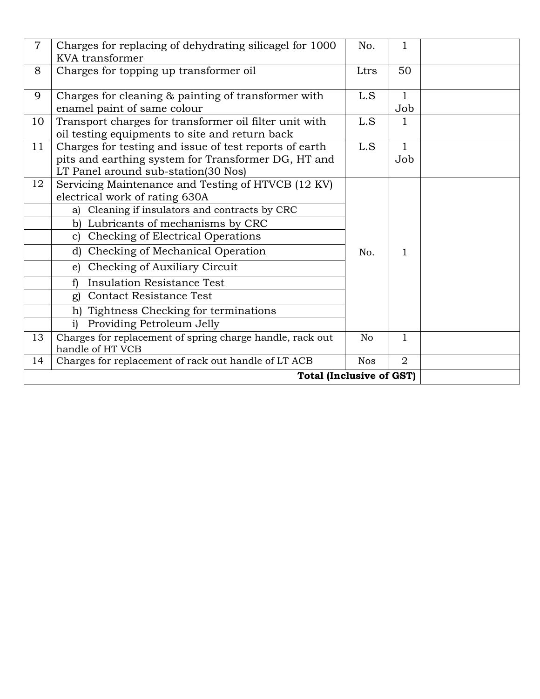| $\overline{7}$ | Charges for replacing of dehydrating silicagel for 1000<br><b>KVA</b> transformer                                                                    | No.            | 1                   |  |
|----------------|------------------------------------------------------------------------------------------------------------------------------------------------------|----------------|---------------------|--|
| 8              | Charges for topping up transformer oil                                                                                                               | Ltrs           | 50                  |  |
| 9              | Charges for cleaning & painting of transformer with<br>enamel paint of same colour                                                                   | L.S            | $\mathbf{1}$<br>Job |  |
| 10             | Transport charges for transformer oil filter unit with<br>oil testing equipments to site and return back                                             | L.S            | 1                   |  |
| 11             | Charges for testing and issue of test reports of earth<br>pits and earthing system for Transformer DG, HT and<br>LT Panel around sub-station(30 Nos) | L.S            | 1<br>Job            |  |
| 12             | Servicing Maintenance and Testing of HTVCB (12 KV)<br>electrical work of rating 630A<br>Cleaning if insulators and contracts by CRC<br>a)            |                |                     |  |
|                | b) Lubricants of mechanisms by CRC                                                                                                                   |                |                     |  |
|                | Checking of Electrical Operations<br>$\mathbf{C}$                                                                                                    |                |                     |  |
|                | d) Checking of Mechanical Operation                                                                                                                  | No.            | 1                   |  |
|                | Checking of Auxiliary Circuit<br>e)                                                                                                                  |                |                     |  |
|                | <b>Insulation Resistance Test</b><br>f)                                                                                                              |                |                     |  |
|                | <b>Contact Resistance Test</b><br>g)                                                                                                                 |                |                     |  |
|                | Tightness Checking for terminations<br>h)                                                                                                            |                |                     |  |
|                | Providing Petroleum Jelly<br>$\mathbf{i}$                                                                                                            |                |                     |  |
| 13             | Charges for replacement of spring charge handle, rack out<br>handle of HT VCB                                                                        | N <sub>o</sub> | $\mathbf 1$         |  |
| 14             | Charges for replacement of rack out handle of LT ACB                                                                                                 | <b>Nos</b>     | $\overline{2}$      |  |
|                |                                                                                                                                                      |                |                     |  |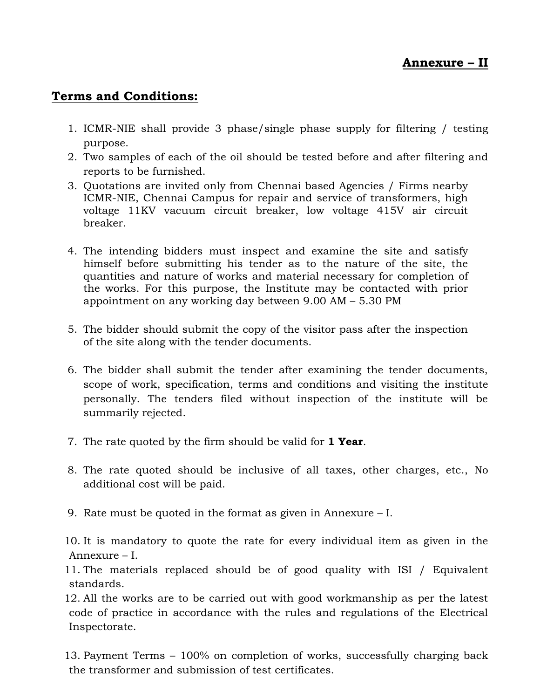## **Terms and Conditions:**

- 1. ICMR-NIE shall provide 3 phase/single phase supply for filtering / testing purpose.
- 2. Two samples of each of the oil should be tested before and after filtering and reports to be furnished.
- 3. Quotations are invited only from Chennai based Agencies / Firms nearby ICMR-NIE, Chennai Campus for repair and service of transformers, high voltage 11KV vacuum circuit breaker, low voltage 415V air circuit breaker.
- 4. The intending bidders must inspect and examine the site and satisfy himself before submitting his tender as to the nature of the site, the quantities and nature of works and material necessary for completion of the works. For this purpose, the Institute may be contacted with prior appointment on any working day between 9.00 AM – 5.30 PM
- 5. The bidder should submit the copy of the visitor pass after the inspection of the site along with the tender documents.
- 6. The bidder shall submit the tender after examining the tender documents, scope of work, specification, terms and conditions and visiting the institute personally. The tenders filed without inspection of the institute will be summarily rejected.
- 7. The rate quoted by the firm should be valid for **1 Year**.
- 8. The rate quoted should be inclusive of all taxes, other charges, etc., No additional cost will be paid.
- 9. Rate must be quoted in the format as given in Annexure I.

10. It is mandatory to quote the rate for every individual item as given in the Annexure – I.

11. The materials replaced should be of good quality with ISI / Equivalent standards.

12. All the works are to be carried out with good workmanship as per the latest code of practice in accordance with the rules and regulations of the Electrical Inspectorate.

13. Payment Terms – 100% on completion of works, successfully charging back the transformer and submission of test certificates.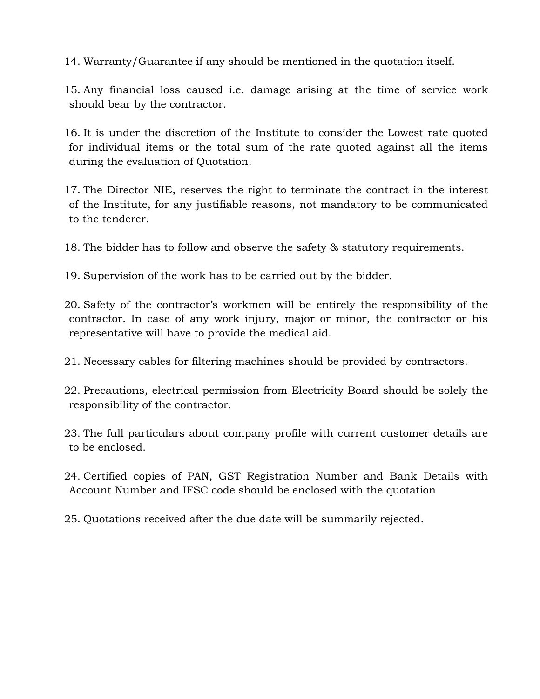14. Warranty/Guarantee if any should be mentioned in the quotation itself.

15. Any financial loss caused i.e. damage arising at the time of service work should bear by the contractor.

16. It is under the discretion of the Institute to consider the Lowest rate quoted for individual items or the total sum of the rate quoted against all the items during the evaluation of Quotation.

17. The Director NIE, reserves the right to terminate the contract in the interest of the Institute, for any justifiable reasons, not mandatory to be communicated to the tenderer.

18. The bidder has to follow and observe the safety & statutory requirements.

19. Supervision of the work has to be carried out by the bidder.

20. Safety of the contractor's workmen will be entirely the responsibility of the contractor. In case of any work injury, major or minor, the contractor or his representative will have to provide the medical aid.

21. Necessary cables for filtering machines should be provided by contractors.

22. Precautions, electrical permission from Electricity Board should be solely the responsibility of the contractor.

23. The full particulars about company profile with current customer details are to be enclosed.

24. Certified copies of PAN, GST Registration Number and Bank Details with Account Number and IFSC code should be enclosed with the quotation

25. Quotations received after the due date will be summarily rejected.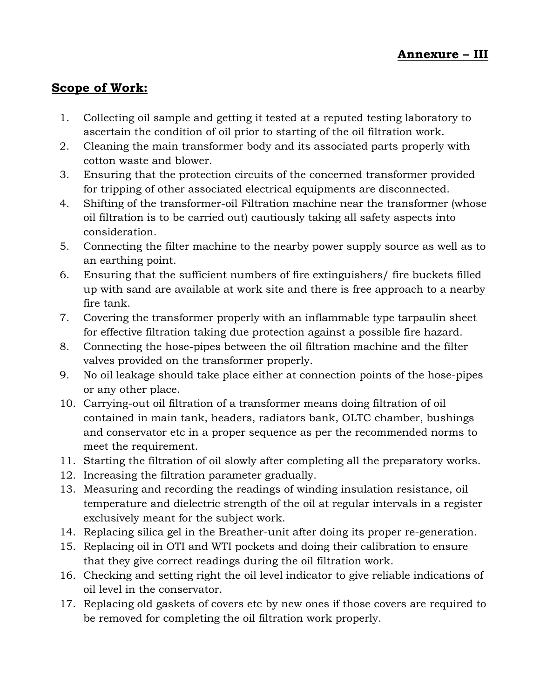# **Scope of Work:**

- 1. Collecting oil sample and getting it tested at a reputed testing laboratory to ascertain the condition of oil prior to starting of the oil filtration work.
- 2. Cleaning the main transformer body and its associated parts properly with cotton waste and blower.
- 3. Ensuring that the protection circuits of the concerned transformer provided for tripping of other associated electrical equipments are disconnected.
- 4. Shifting of the transformer-oil Filtration machine near the transformer (whose oil filtration is to be carried out) cautiously taking all safety aspects into consideration.
- 5. Connecting the filter machine to the nearby power supply source as well as to an earthing point.
- 6. Ensuring that the sufficient numbers of fire extinguishers/ fire buckets filled up with sand are available at work site and there is free approach to a nearby fire tank.
- 7. Covering the transformer properly with an inflammable type tarpaulin sheet for effective filtration taking due protection against a possible fire hazard.
- 8. Connecting the hose-pipes between the oil filtration machine and the filter valves provided on the transformer properly.
- 9. No oil leakage should take place either at connection points of the hose-pipes or any other place.
- 10. Carrying-out oil filtration of a transformer means doing filtration of oil contained in main tank, headers, radiators bank, OLTC chamber, bushings and conservator etc in a proper sequence as per the recommended norms to meet the requirement.
- 11. Starting the filtration of oil slowly after completing all the preparatory works.
- 12. Increasing the filtration parameter gradually.
- 13. Measuring and recording the readings of winding insulation resistance, oil temperature and dielectric strength of the oil at regular intervals in a register exclusively meant for the subject work.
- 14. Replacing silica gel in the Breather-unit after doing its proper re-generation.
- 15. Replacing oil in OTI and WTI pockets and doing their calibration to ensure that they give correct readings during the oil filtration work.
- 16. Checking and setting right the oil level indicator to give reliable indications of oil level in the conservator.
- 17. Replacing old gaskets of covers etc by new ones if those covers are required to be removed for completing the oil filtration work properly.